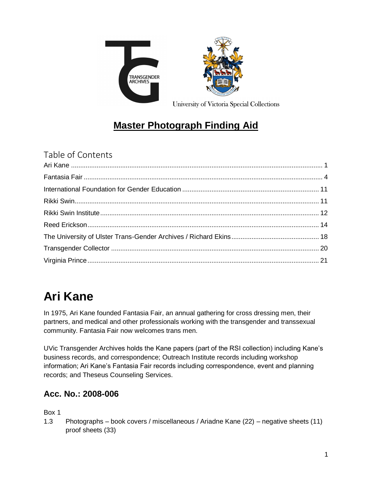



University of Victoria Special Collections

## **Master Photograph Finding Aid**

Table of Contents

# <span id="page-0-0"></span>**Ari Kane**

In 1975, Ari Kane founded Fantasia Fair, an annual gathering for cross dressing men, their partners, and medical and other professionals working with the transgender and transsexual community. Fantasia Fair now welcomes trans men.

UVic Transgender Archives holds the Kane papers (part of the RSI collection) including Kane's business records, and correspondence; Outreach Institute records including workshop information; Ari Kane's Fantasia Fair records including correspondence, event and planning records; and Theseus Counseling Services.

## **Acc. No.: 2008-006**

Box 1

1.3 Photographs – book covers / miscellaneous / Ariadne Kane (22) – negative sheets (11) proof sheets (33)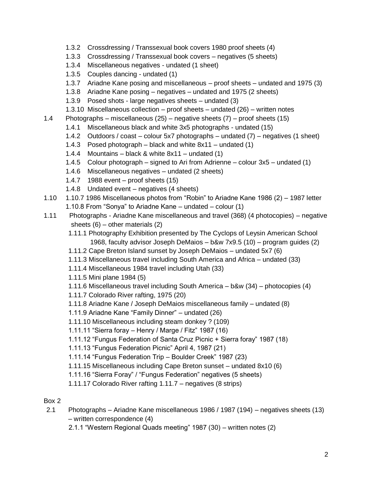- 1.3.2 Crossdressing / Transsexual book covers 1980 proof sheets (4)
- 1.3.3 Crossdressing / Transsexual book covers negatives (5 sheets)
- 1.3.4 Miscellaneous negatives undated (1 sheet)
- 1.3.5 Couples dancing undated (1)
- 1.3.7 Ariadne Kane posing and miscellaneous proof sheets undated and 1975 (3)
- 1.3.8 Ariadne Kane posing negatives undated and 1975 (2 sheets)
- 1.3.9 Posed shots large negatives sheets undated (3)
- 1.3.10 Miscellaneous collection proof sheets undated (26) written notes
- 1.4 Photographs miscellaneous (25) negative sheets (7) proof sheets (15)
	- 1.4.1 Miscellaneous black and white 3x5 photographs undated (15)
	- 1.4.2 Outdoors / coast colour 5x7 photographs undated (7) negatives (1 sheet)
	- 1.4.3 Posed photograph black and white 8x11 undated (1)
	- 1.4.4 Mountains black & white 8x11 undated (1)
	- 1.4.5 Colour photograph signed to Ari from Adrienne colour 3x5 undated (1)
	- 1.4.6 Miscellaneous negatives undated (2 sheets)
	- 1.4.7 1988 event proof sheets (15)
	- 1.4.8 Undated event negatives (4 sheets)
- 1.10 1.10.7 1986 Miscellaneous photos from "Robin" to Ariadne Kane 1986 (2) 1987 letter
	- 1.10.8 From "Sonya" to Ariadne Kane undated colour (1)
- 1.11 Photographs Ariadne Kane miscellaneous and travel (368) (4 photocopies) negative sheets (6) – other materials (2)
	- 1.11.1 Photography Exhibition presented by The Cyclops of Leysin American School 1968, faculty advisor Joseph DeMaios – b&w 7x9.5 (10) – program guides (2)
	- 1.11.2 Cape Breton Island sunset by Joseph DeMaios undated 5x7 (6)
	- 1.11.3 Miscellaneous travel including South America and Africa undated (33)
	- 1.11.4 Miscellaneous 1984 travel including Utah (33)
	- 1.11.5 Mini plane 1984 (5)
	- 1.11.6 Miscellaneous travel including South America b&w (34) photocopies (4)
	- 1.11.7 Colorado River rafting, 1975 (20)
	- 1.11.8 Ariadne Kane / Joseph DeMaios miscellaneous family undated (8)
	- 1.11.9 Ariadne Kane "Family Dinner" undated (26)
	- 1.11.10 Miscellaneous including steam donkey ? (109)
	- 1.11.11 "Sierra foray Henry / Marge / Fitz" 1987 (16)
	- 1.11.12 "Fungus Federation of Santa Cruz Picnic + Sierra foray" 1987 (18)
	- 1.11.13 "Fungus Federation Picnic" April 4, 1987 (21)
	- 1.11.14 "Fungus Federation Trip Boulder Creek" 1987 (23)
	- 1.11.15 Miscellaneous including Cape Breton sunset undated 8x10 (6)
	- 1.11.16 "Sierra Foray" / "Fungus Federation" negatives (5 sheets)
	- 1.11.17 Colorado River rafting 1.11.7 negatives (8 strips)
- Box 2
- 2.1 Photographs Ariadne Kane miscellaneous 1986 / 1987 (194) negatives sheets (13) – written correspondence (4)
	- 2.1.1 "Western Regional Quads meeting" 1987 (30) written notes (2)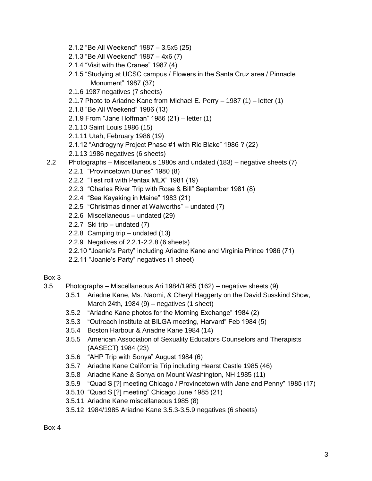- 2.1.2 "Be All Weekend" 1987 3.5x5 (25)
- 2.1.3 "Be All Weekend" 1987 4x6 (7)
- 2.1.4 "Visit with the Cranes" 1987 (4)
- 2.1.5 "Studying at UCSC campus / Flowers in the Santa Cruz area / Pinnacle Monument" 1987 (37)
- 2.1.6 1987 negatives (7 sheets)
- 2.1.7 Photo to Ariadne Kane from Michael E. Perry 1987 (1) letter (1)
- 2.1.8 "Be All Weekend" 1986 (13)
- 2.1.9 From "Jane Hoffman" 1986 (21) letter (1)
- 2.1.10 Saint Louis 1986 (15)
- 2.1.11 Utah, February 1986 (19)
- 2.1.12 "Androgyny Project Phase #1 with Ric Blake" 1986 ? (22)
- 2.1.13 1986 negatives (6 sheets)
- 2.2 Photographs Miscellaneous 1980s and undated (183) negative sheets (7)
	- 2.2.1 "Provincetown Dunes" 1980 (8)
	- 2.2.2 "Test roll with Pentax MLX" 1981 (19)
	- 2.2.3 "Charles River Trip with Rose & Bill" September 1981 (8)
	- 2.2.4 "Sea Kayaking in Maine" 1983 (21)
	- 2.2.5 "Christmas dinner at Walworths" undated (7)
	- 2.2.6 Miscellaneous undated (29)
	- 2.2.7 Ski trip undated (7)
	- 2.2.8 Camping trip undated (13)
	- 2.2.9 Negatives of 2.2.1-2.2.8 (6 sheets)
	- 2.2.10 "Joanie's Party" including Ariadne Kane and Virginia Prince 1986 (71)
	- 2.2.11 "Joanie's Party" negatives (1 sheet)

- 3.5 Photographs Miscellaneous Ari 1984/1985 (162) negative sheets (9)
	- 3.5.1 Ariadne Kane, Ms. Naomi, & Cheryl Haggerty on the David Susskind Show, March 24th, 1984 (9) – negatives (1 sheet)
	- 3.5.2 "Ariadne Kane photos for the Morning Exchange" 1984 (2)
	- 3.5.3 "Outreach Institute at BILGA meeting, Harvard" Feb 1984 (5)
	- 3.5.4 Boston Harbour & Ariadne Kane 1984 (14)
	- 3.5.5 American Association of Sexuality Educators Counselors and Therapists (AASECT) 1984 (23)
	- 3.5.6 "AHP Trip with Sonya" August 1984 (6)
	- 3.5.7 Ariadne Kane California Trip including Hearst Castle 1985 (46)
	- 3.5.8 Ariadne Kane & Sonya on Mount Washington, NH 1985 (11)
	- 3.5.9 "Quad S [?] meeting Chicago / Provincetown with Jane and Penny" 1985 (17)
	- 3.5.10 "Quad S [?] meeting" Chicago June 1985 (21)
	- 3.5.11 Ariadne Kane miscellaneous 1985 (8)
	- 3.5.12 1984/1985 Ariadne Kane 3.5.3-3.5.9 negatives (6 sheets)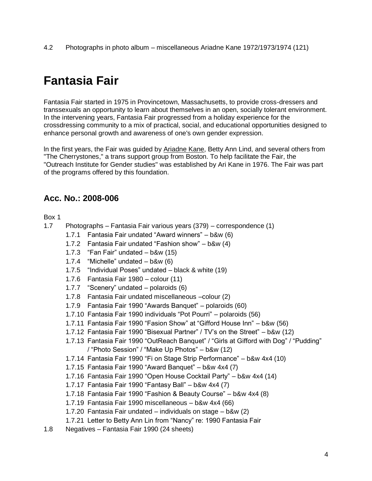4.2 Photographs in photo album – miscellaneous Ariadne Kane 1972/1973/1974 (121)

## <span id="page-3-0"></span>**Fantasia Fair**

Fantasia Fair started in 1975 in Provincetown, Massachusetts, to provide cross-dressers and transsexuals an opportunity to learn about themselves in an open, socially tolerant environment. In the intervening years, Fantasia Fair progressed from a holiday experience for the crossdressing community to a mix of practical, social, and educational opportunities designed to enhance personal growth and awareness of one's own gender expression.

ln the first years, the Fair was guided by [Ariadne](https://www.uvic.ca/transgenderarchives/collections/ari-kane/index.php) Kane, Betty Ann Lind, and several others from "The Cherrystones," a trans support group from Boston. To help facilitate the Fair, the "Outreach Institute for Gender studies" was established by Ari Kane in 1976. The Fair was part of the programs offered by this foundation.

### **Acc. No.: 2008-006**

- 1.7 Photographs Fantasia Fair various years (379) correspondence (1)
	- 1.7.1 Fantasia Fair undated "Award winners" b&w (6)
	- 1.7.2 Fantasia Fair undated "Fashion show" b&w (4)
	- 1.7.3 "Fan Fair" undated b&w (15)
	- 1.7.4 "Michelle" undated b&w (6)
	- 1.7.5 "Individual Poses" undated black & white (19)
	- 1.7.6 Fantasia Fair 1980 colour (11)
	- 1.7.7 "Scenery" undated polaroids (6)
	- 1.7.8 Fantasia Fair undated miscellaneous –colour (2)
	- 1.7.9 Fantasia Fair 1990 "Awards Banquet" polaroids (60)
	- 1.7.10 Fantasia Fair 1990 individuals "Pot Pourri" polaroids (56)
	- 1.7.11 Fantasia Fair 1990 "Fasion Show" at "Gifford House Inn" b&w (56)
	- 1.7.12 Fantasia Fair 1990 "Bisexual Partner" / TV's on the Street" b&w (12)
	- 1.7.13 Fantasia Fair 1990 "OutReach Banquet" / "Girls at Gifford with Dog" / "Pudding" / "Photo Session" / "Make Up Photos" – b&w (12)
	- 1.7.14 Fantasia Fair 1990 "Fi on Stage Strip Performance" b&w 4x4 (10)
	- 1.7.15 Fantasia Fair 1990 "Award Banquet" b&w 4x4 (7)
	- 1.7.16 Fantasia Fair 1990 "Open House Cocktail Party" b&w 4x4 (14)
	- 1.7.17 Fantasia Fair 1990 "Fantasy Ball" b&w 4x4 (7)
	- 1.7.18 Fantasia Fair 1990 "Fashion & Beauty Course" b&w 4x4 (8)
	- 1.7.19 Fantasia Fair 1990 miscellaneous b&w 4x4 (66)
	- 1.7.20 Fantasia Fair undated individuals on stage b&w (2)
	- 1.7.21 Letter to Betty Ann Lin from "Nancy" re: 1990 Fantasia Fair
- 1.8 Negatives Fantasia Fair 1990 (24 sheets)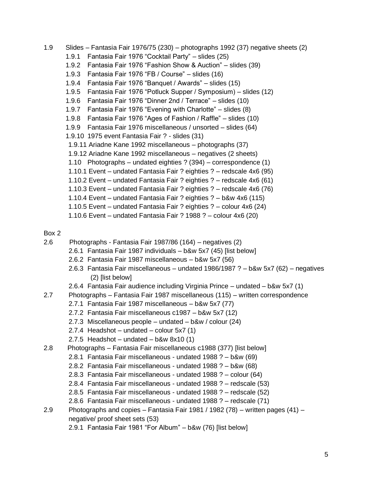- 1.9 Slides Fantasia Fair 1976/75 (230) photographs 1992 (37) negative sheets (2) 1.9.1 Fantasia Fair 1976 "Cocktail Party" – slides (25) 1.9.2 Fantasia Fair 1976 "Fashion Show & Auction" – slides (39) 1.9.3 Fantasia Fair 1976 "FB / Course" – slides (16) 1.9.4 Fantasia Fair 1976 "Banquet / Awards" – slides (15) 1.9.5 Fantasia Fair 1976 "Potluck Supper / Symposium) – slides (12) 1.9.6 Fantasia Fair 1976 "Dinner 2nd / Terrace" – slides (10) 1.9.7 Fantasia Fair 1976 "Evening with Charlotte" – slides (8) 1.9.8 Fantasia Fair 1976 "Ages of Fashion / Raffle" – slides (10) 1.9.9 Fantasia Fair 1976 miscellaneous / unsorted – slides (64) 1.9.10 1975 event Fantasia Fair ? - slides (31) 1.9.11 Ariadne Kane 1992 miscellaneous – photographs (37) 1.9.12 Ariadne Kane 1992 miscellaneous – negatives (2 sheets) 1.10 Photographs – undated eighties ? (394) – correspondence (1) 1.10.1 Event – undated Fantasia Fair ? eighties ? – redscale 4x6 (95) 1.10.2 Event – undated Fantasia Fair ? eighties ? – redscale 4x6 (61) 1.10.3 Event – undated Fantasia Fair ? eighties ? – redscale 4x6 (76) 1.10.4 Event – undated Fantasia Fair ? eighties ? – b&w 4x6 (115) 1.10.5 Event – undated Fantasia Fair ? eighties ? – colour 4x6 (24)
	- 1.10.6 Event undated Fantasia Fair ? 1988 ? colour 4x6 (20)

- 2.6 Photographs Fantasia Fair 1987/86 (164) negatives (2)
	- 2.6.1 Fantasia Fair 1987 individuals b&w 5x7 (45) [list below]
	- 2.6.2 Fantasia Fair 1987 miscellaneous b&w 5x7 (56)
	- 2.6.3 Fantasia Fair miscellaneous undated 1986/1987 ? b&w 5x7 (62) negatives (2) [list below]
	- 2.6.4 Fantasia Fair audience including Virginia Prince undated b&w 5x7 (1)
- 2.7 Photographs Fantasia Fair 1987 miscellaneous (115) written correspondence
	- 2.7.1 Fantasia Fair 1987 miscellaneous b&w 5x7 (77)
	- 2.7.2 Fantasia Fair miscellaneous c1987 b&w 5x7 (12)
	- 2.7.3 Miscellaneous people undated b&w / colour (24)
	- 2.7.4 Headshot undated colour 5x7 (1)
	- 2.7.5 Headshot undated  $b$ &w 8x10 (1)
- 2.8 Photographs Fantasia Fair miscellaneous c1988 (377) [list below]
	- 2.8.1 Fantasia Fair miscellaneous undated 1988 ? b&w (69)
	- 2.8.2 Fantasia Fair miscellaneous undated 1988 ? b&w (68)
	- 2.8.3 Fantasia Fair miscellaneous undated 1988 ? colour (64)
	- 2.8.4 Fantasia Fair miscellaneous undated 1988 ? redscale (53)
	- 2.8.5 Fantasia Fair miscellaneous undated 1988 ? redscale (52)
	- 2.8.6 Fantasia Fair miscellaneous undated 1988 ? redscale (71)
- 2.9 Photographs and copies Fantasia Fair 1981 / 1982 (78) written pages (41) negative/ proof sheet sets (53)
	- 2.9.1 Fantasia Fair 1981 "For Album" b&w (76) [list below]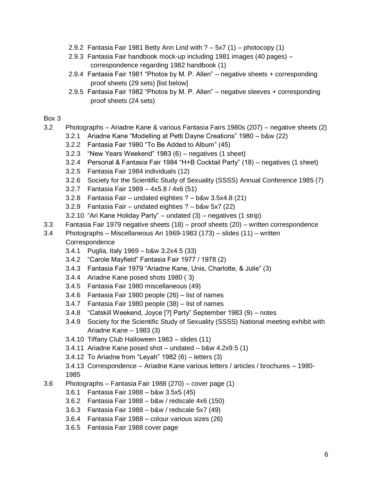- 2.9.2 Fantasia Fair 1981 Betty Ann Lind with ? 5x7 (1) photocopy (1)
- 2.9.3 Fantasia Fair handbook mock-up including 1981 images (40 pages) correspondence regarding 1982 handbook (1)
- 2.9.4 Fantasia Fair 1981 "Photos by M. P. Allen" negative sheets + corresponding proof sheets (29 sets) [list below]
- 2.9.5 Fantasia Fair 1982 "Photos by M. P. Allen" negative sleeves + corresponding proof sheets (24 sets)

- 3.2 Photographs Ariadne Kane & various Fantasia Fairs 1980s (207) negative sheets (2)
	- 3.2.1 Ariadne Kane "Modelling at Petti Dayne Creations" 1980 b&w (22)
	- 3.2.2 Fantasia Fair 1980 "To Be Added to Album" (45)
	- 3.2.3 "New Years Weekend" 1983 (6) negatives (1 sheet)
	- 3.2.4 Personal & Fantasia Fair 1984 "H+B Cocktail Party" (18) negatives (1 sheet)
	- 3.2.5 Fantasia Fair 1984 individuals (12)
	- 3.2.6 Society for the Scientific Study of Sexuality (SSSS) Annual Conference 1985 (7)
	- 3.2.7 Fantasia Fair 1989 4x5.8 / 4x6 (51)
	- 3.2.8 Fantasia Fair undated eighties ? b&w 3.5x4.8 (21)
	- 3.2.9 Fantasia Fair undated eighties ? b&w 5x7 (22)
	- 3.2.10 "Ari Kane Holiday Party" undated (3) negatives (1 strip)
- 3.3 Fantasia Fair 1979 negative sheets (18) proof sheets (20) written correspondence
- 3.4 Photographs Miscellaneous Ari 1969-1983 (173) slides (11) written **Correspondence** 
	- 3.4.1 Puglia, Italy 1969 b&w 3.2x4.5 (33)
	- 3.4.2 "Carole Mayfield" Fantasia Fair 1977 / 1978 (2)
	- 3.4.3 Fantasia Fair 1979 "Ariadne Kane, Unis, Charlotte, & Julie" (3)
	- 3.4.4 Ariadne Kane posed shots 1980 ( 3)
	- 3.4.5 Fantasia Fair 1980 miscellaneous (49)
	- 3.4.6 Fantasia Fair 1980 people (26) list of names
	- 3.4.7 Fantasia Fair 1980 people (38) list of names
	- 3.4.8 "Catskill Weekend, Joyce [?] Party" September 1983 (9) notes
	- 3.4.9 Society for the Scientific Study of Sexuality (SSSS) National meeting exhibit with Ariadne Kane – 1983 (3)
	- 3.4.10 Tiffany Club Halloween 1983 slides (11)
	- 3.4.11 Ariadne Kane posed shot undated b&w 4.2x9.5 (1)
	- 3.4.12 To Ariadne from "Leyah" 1982 (6) letters (3)
	- 3.4.13 Correspondence Ariadne Kane various letters / articles / brochures 1980- 1985
- 3.6 Photographs Fantasia Fair 1988 (270) cover page (1)
	- 3.6.1 Fantasia Fair 1988 b&w 3.5x5 (45)
	- 3.6.2 Fantasia Fair 1988 b&w / redscale 4x6 (150)
	- 3.6.3 Fantasia Fair 1988 b&w / redscale 5x7 (49)
	- 3.6.4 Fantasia Fair 1988 colour various sizes (26)
	- 3.6.5 Fantasia Fair 1988 cover page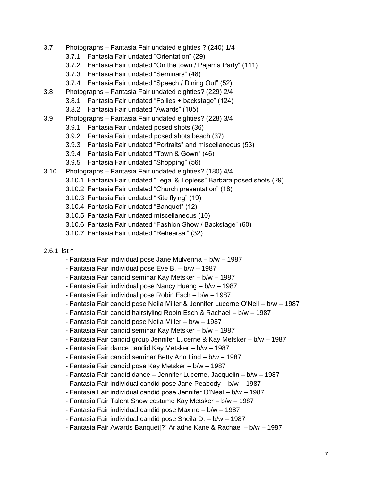- 3.7 Photographs Fantasia Fair undated eighties ? (240) 1/4
	- 3.7.1 Fantasia Fair undated "Orientation" (29)
	- 3.7.2 Fantasia Fair undated "On the town / Pajama Party" (111)
	- 3.7.3 Fantasia Fair undated "Seminars" (48)
	- 3.7.4 Fantasia Fair undated "Speech / Dining Out" (52)
- 3.8 Photographs Fantasia Fair undated eighties? (229) 2/4
	- 3.8.1 Fantasia Fair undated "Follies + backstage" (124)
	- 3.8.2 Fantasia Fair undated "Awards" (105)
- 3.9 Photographs Fantasia Fair undated eighties? (228) 3/4
	- 3.9.1 Fantasia Fair undated posed shots (36)
	- 3.9.2 Fantasia Fair undated posed shots beach (37)
	- 3.9.3 Fantasia Fair undated "Portraits" and miscellaneous (53)
	- 3.9.4 Fantasia Fair undated "Town & Gown" (46)
	- 3.9.5 Fantasia Fair undated "Shopping" (56)
- 3.10 Photographs Fantasia Fair undated eighties? (180) 4/4
	- 3.10.1 Fantasia Fair undated "Legal & Topless" Barbara posed shots (29)
	- 3.10.2 Fantasia Fair undated "Church presentation" (18)
	- 3.10.3 Fantasia Fair undated "Kite flying" (19)
	- 3.10.4 Fantasia Fair undated "Banquet" (12)
	- 3.10.5 Fantasia Fair undated miscellaneous (10)
	- 3.10.6 Fantasia Fair undated "Fashion Show / Backstage" (60)
	- 3.10.7 Fantasia Fair undated "Rehearsal" (32)
- 2.6.1 list ^
	- Fantasia Fair individual pose Jane Mulvenna b/w 1987
	- Fantasia Fair individual pose Eve B. b/w 1987
	- Fantasia Fair candid seminar Kay Metsker b/w 1987
	- Fantasia Fair individual pose Nancy Huang b/w 1987
	- Fantasia Fair individual pose Robin Esch b/w 1987
	- Fantasia Fair candid pose Neila Miller & Jennifer Lucerne O'Neil b/w 1987
	- Fantasia Fair candid hairstyling Robin Esch & Rachael b/w 1987
	- Fantasia Fair candid pose Neila Miller b/w 1987
	- Fantasia Fair candid seminar Kay Metsker b/w 1987
	- Fantasia Fair candid group Jennifer Lucerne & Kay Metsker b/w 1987
	- Fantasia Fair dance candid Kay Metsker b/w 1987
	- Fantasia Fair candid seminar Betty Ann Lind b/w 1987
	- Fantasia Fair candid pose Kay Metsker b/w 1987
	- Fantasia Fair candid dance Jennifer Lucerne, Jacquelin b/w 1987
	- Fantasia Fair individual candid pose Jane Peabody b/w 1987
	- Fantasia Fair individual candid pose Jennifer O'Neal b/w 1987
	- Fantasia Fair Talent Show costume Kay Metsker b/w 1987
	- Fantasia Fair individual candid pose Maxine b/w 1987
	- Fantasia Fair individual candid pose Sheila D. b/w 1987
	- Fantasia Fair Awards Banquet[?] Ariadne Kane & Rachael b/w 1987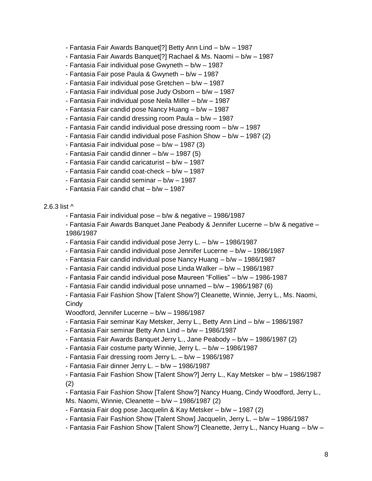- Fantasia Fair Awards Banquet[?] Betty Ann Lind b/w 1987
- Fantasia Fair Awards Banquet[?] Rachael & Ms. Naomi b/w 1987
- Fantasia Fair individual pose Gwyneth b/w 1987
- Fantasia Fair pose Paula & Gwyneth b/w 1987
- Fantasia Fair individual pose Gretchen b/w 1987
- Fantasia Fair individual pose Judy Osborn b/w 1987
- Fantasia Fair individual pose Neila Miller b/w 1987
- Fantasia Fair candid pose Nancy Huang b/w 1987
- Fantasia Fair candid dressing room Paula b/w 1987
- Fantasia Fair candid individual pose dressing room b/w 1987
- Fantasia Fair candid individual pose Fashion Show b/w 1987 (2)
- Fantasia Fair individual pose b/w 1987 (3)
- Fantasia Fair candid dinner b/w 1987 (5)
- Fantasia Fair candid caricaturist b/w 1987
- Fantasia Fair candid coat-check b/w 1987
- Fantasia Fair candid seminar b/w 1987
- Fantasia Fair candid chat b/w 1987

#### 2.6.3 list ^

- Fantasia Fair individual pose b/w & negative 1986/1987
- Fantasia Fair Awards Banquet Jane Peabody & Jennifer Lucerne b/w & negative 1986/1987
- Fantasia Fair candid individual pose Jerry L. b/w 1986/1987
- Fantasia Fair candid individual pose Jennifer Lucerne b/w 1986/1987
- Fantasia Fair candid individual pose Nancy Huang b/w 1986/1987
- Fantasia Fair candid individual pose Linda Walker b/w 1986/1987
- Fantasia Fair candid individual pose Maureen "Follies" b/w 1986-1987
- Fantasia Fair candid individual pose unnamed b/w 1986/1987 (6)
- Fantasia Fair Fashion Show [Talent Show?] Cleanette, Winnie, Jerry L., Ms. Naomi, **Cindy**

Woodford, Jennifer Lucerne – b/w – 1986/1987

- Fantasia Fair seminar Kay Metsker, Jerry L., Betty Ann Lind b/w 1986/1987
- Fantasia Fair seminar Betty Ann Lind b/w 1986/1987
- Fantasia Fair Awards Banquet Jerry L., Jane Peabody b/w 1986/1987 (2)
- Fantasia Fair costume party Winnie, Jerry L. b/w 1986/1987
- Fantasia Fair dressing room Jerry L. b/w 1986/1987
- Fantasia Fair dinner Jerry L. b/w 1986/1987
- Fantasia Fair Fashion Show [Talent Show?] Jerry L., Kay Metsker b/w 1986/1987 (2)

- Fantasia Fair Fashion Show [Talent Show?] Nancy Huang, Cindy Woodford, Jerry L., Ms. Naomi, Winnie, Cleanette – b/w – 1986/1987 (2)

- Fantasia Fair dog pose Jacquelin & Kay Metsker b/w 1987 (2)
- Fantasia Fair Fashion Show [Talent Show] Jacquelin, Jerry L. b/w 1986/1987
- Fantasia Fair Fashion Show [Talent Show?] Cleanette, Jerry L., Nancy Huang b/w –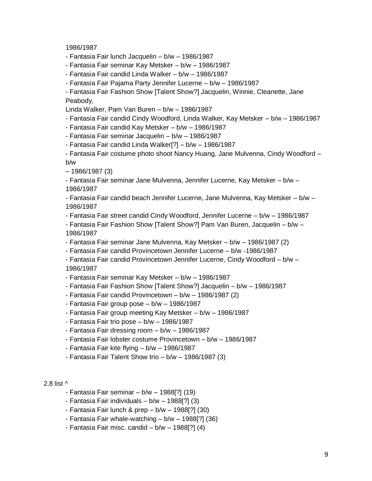1986/1987

- Fantasia Fair lunch Jacquelin – b/w – 1986/1987

- Fantasia Fair seminar Kay Metsker – b/w – 1986/1987

- Fantasia Fair candid Linda Walker – b/w – 1986/1987

- Fantasia Fair Pajama Party Jennifer Lucerne – b/w – 1986/1987

- Fantasia Fair Fashion Show [Talent Show?] Jacquelin, Winnie, Cleanette, Jane Peabody,

Linda Walker, Pam Van Buren – b/w – 1986/1987

- Fantasia Fair candid Cindy Woodford, Linda Walker, Kay Metsker – b/w – 1986/1987

- Fantasia Fair candid Kay Metsker – b/w – 1986/1987

- Fantasia Fair seminar Jacquelin – b/w – 1986/1987

- Fantasia Fair candid Linda Walker[?] – b/w – 1986/1987

- Fantasia Fair costume photo shoot Nancy Huang, Jane Mulvenna, Cindy Woodford – b/w

– 1986/1987 (3)

- Fantasia Fair seminar Jane Mulvenna, Jennifer Lucerne, Kay Metsker – b/w – 1986/1987

- Fantasia Fair candid beach Jennifer Lucerne, Jane Mulvenna, Kay Metsker – b/w – 1986/1987

- Fantasia Fair street candid Cindy Woodford, Jennifer Lucerne – b/w – 1986/1987

- Fantasia Fair Fashion Show [Talent Show?] Pam Van Buren, Jacquelin – b/w – 1986/1987

- Fantasia Fair seminar Jane Mulvenna, Kay Metsker – b/w – 1986/1987 (2)

- Fantasia Fair candid Provincetown Jennifer Lucerne – b/w -1986/1987

- Fantasia Fair candid Provincetown Jennifer Lucerne, Cindy Woodford – b/w – 1986/1987

- Fantasia Fair seminar Kay Metsker – b/w – 1986/1987

- Fantasia Fair Fashion Show [Talent Show?] Jacquelin – b/w – 1986/1987

- Fantasia Fair candid Provincetown b/w 1986/1987 (2)
- Fantasia Fair group pose b/w 1986/1987
- Fantasia Fair group meeting Kay Metsker b/w 1986/1987
- Fantasia Fair trio pose b/w 1986/1987
- Fantasia Fair dressing room b/w 1986/1987
- Fantasia Fair lobster costume Provincetown b/w 1986/1987
- Fantasia Fair kite flying b/w 1986/1987
- Fantasia Fair Talent Show trio b/w 1986/1987 (3)

#### 2.8 list ^

- Fantasia Fair seminar b/w 1988[?] (19)
- Fantasia Fair individuals b/w 1988[?] (3)
- Fantasia Fair lunch & prep  $b/w 1988$ [?] (30)
- Fantasia Fair whale-watching b/w 1988[?] (36)
- Fantasia Fair misc. candid  $b/w 1988[?] (4)$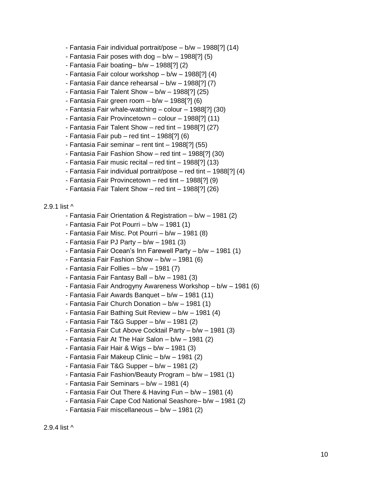- Fantasia Fair individual portrait/pose b/w 1988[?] (14)
- Fantasia Fair poses with dog  $b/w 1988[?]$  (5)
- Fantasia Fair boating– b/w 1988[?] (2)
- Fantasia Fair colour workshop b/w 1988[?] (4)
- Fantasia Fair dance rehearsal b/w 1988[?] (7)
- Fantasia Fair Talent Show  $b/w 1988[?]$  (25)
- Fantasia Fair green room b/w 1988[?] (6)
- Fantasia Fair whale-watching colour 1988[?] (30)
- Fantasia Fair Provincetown colour 1988[?] (11)
- Fantasia Fair Talent Show red tint 1988[?] (27)
- $-$  Fantasia Fair pub red tint 1988[?] (6)
- Fantasia Fair seminar rent tint 1988[?] (55)
- Fantasia Fair Fashion Show red tint 1988[?] (30)
- Fantasia Fair music recital red tint 1988[?] (13)
- Fantasia Fair individual portrait/pose red tint 1988[?] (4)
- Fantasia Fair Provincetown red tint 1988[?] (9)
- Fantasia Fair Talent Show red tint 1988[?] (26)

#### 2.9.1 list ^

- Fantasia Fair Orientation & Registration b/w 1981 (2)
- Fantasia Fair Pot Pourri b/w 1981 (1)
- Fantasia Fair Misc. Pot Pourri b/w 1981 (8)
- Fantasia Fair PJ Party b/w 1981 (3)
- Fantasia Fair Ocean's Inn Farewell Party b/w 1981 (1)
- Fantasia Fair Fashion Show b/w 1981 (6)
- Fantasia Fair Follies b/w 1981 (7)
- Fantasia Fair Fantasy Ball b/w 1981 (3)
- Fantasia Fair Androgyny Awareness Workshop b/w 1981 (6)
- Fantasia Fair Awards Banquet b/w 1981 (11)
- Fantasia Fair Church Donation b/w 1981 (1)
- Fantasia Fair Bathing Suit Review b/w 1981 (4)
- Fantasia Fair T&G Supper b/w 1981 (2)
- Fantasia Fair Cut Above Cocktail Party b/w 1981 (3)
- Fantasia Fair At The Hair Salon b/w 1981 (2)
- Fantasia Fair Hair & Wigs b/w 1981 (3)
- Fantasia Fair Makeup Clinic b/w 1981 (2)
- Fantasia Fair T&G Supper b/w 1981 (2)
- Fantasia Fair Fashion/Beauty Program b/w 1981 (1)
- Fantasia Fair Seminars b/w 1981 (4)
- Fantasia Fair Out There & Having Fun b/w 1981 (4)
- Fantasia Fair Cape Cod National Seashore– b/w 1981 (2)
- Fantasia Fair miscellaneous b/w 1981 (2)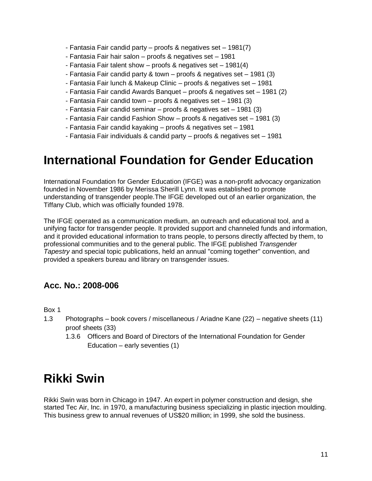- Fantasia Fair candid party proofs & negatives set 1981(7)
- Fantasia Fair hair salon proofs & negatives set 1981
- Fantasia Fair talent show proofs & negatives set 1981(4)
- Fantasia Fair candid party & town proofs & negatives set 1981 (3)
- Fantasia Fair lunch & Makeup Clinic proofs & negatives set 1981
- Fantasia Fair candid Awards Banquet proofs & negatives set 1981 (2)
- Fantasia Fair candid town proofs & negatives set 1981 (3)
- Fantasia Fair candid seminar proofs & negatives set 1981 (3)
- Fantasia Fair candid Fashion Show proofs & negatives set 1981 (3)
- Fantasia Fair candid kayaking proofs & negatives set 1981
- Fantasia Fair individuals & candid party proofs & negatives set 1981

## <span id="page-10-0"></span>**International Foundation for Gender Education**

[International](http://www.ifge.org/) Foundation for Gender Education (IFGE) was a non-profit advocacy organization founded in November 1986 by Merissa Sherill Lynn. It was established to promote understanding of transgender people.The IFGE developed out of an earlier organization, the Tiffany Club, which was officially founded 1978.

The IFGE operated as a communication medium, an outreach and educational tool, and a unifying factor for transgender people. It provided support and channeled funds and information, and it provided educational information to trans people, to persons directly affected by them, to professional communities and to the general public. The IFGE published *Transgender Tapestry* and special topic publications, held an annual "coming together" convention, and provided a speakers bureau and library on transgender issues.

### **Acc. No.: 2008-006**

Box 1

- 1.3 Photographs book covers / miscellaneous / Ariadne Kane (22) negative sheets (11) proof sheets (33)
	- 1.3.6 Officers and Board of Directors of the International Foundation for Gender Education – early seventies (1)

## <span id="page-10-1"></span>**Rikki Swin**

[Rikki](http://www.uvic.ca/library/about/support/donors/RikkiSwin2.php) Swin was born in Chicago in 1947. An expert in polymer construction and design, she started Tec Air, Inc. in 1970, a manufacturing business specializing in plastic injection moulding. This business grew to annual revenues of US\$20 million; in 1999, she sold the business.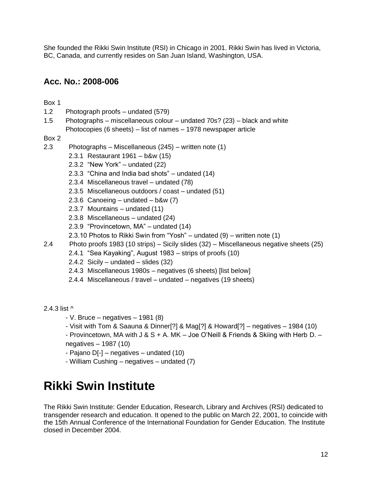She founded the Rikki Swin Institute (RSI) in Chicago in 2001. Rikki Swin has lived in Victoria, BC, Canada, and currently resides on San Juan Island, Washington, USA.

### **Acc. No.: 2008-006**

Box 1

- 1.2 Photograph proofs undated (579)
- 1.5 Photographs miscellaneous colour undated 70s? (23) black and white Photocopies (6 sheets) – list of names – 1978 newspaper article

Box 2

- 2.3 Photographs Miscellaneous (245) written note (1)
	- 2.3.1 Restaurant 1961 b&w (15)
	- 2.3.2 "New York" undated (22)
	- 2.3.3 "China and India bad shots" undated (14)
	- 2.3.4 Miscellaneous travel undated (78)
	- 2.3.5 Miscellaneous outdoors / coast undated (51)
	- 2.3.6 Canoeing undated  $b$ &w  $(7)$
	- 2.3.7 Mountains undated (11)
	- 2.3.8 Miscellaneous undated (24)
	- 2.3.9 "Provincetown, MA" undated (14)
	- 2.3.10 Photos to Rikki Swin from "Yosh" undated (9) written note (1)
- 2.4 Photo proofs 1983 (10 strips) Sicily slides (32) Miscellaneous negative sheets (25)
	- 2.4.1 "Sea Kayaking", August 1983 strips of proofs (10)
	- 2.4.2 Sicily undated slides (32)
	- 2.4.3 Miscellaneous 1980s negatives (6 sheets) [list below]
	- 2.4.4 Miscellaneous / travel undated negatives (19 sheets)

2.4.3 list ^

- $-V.$  Bruce negatives 1981 (8)
- Visit with Tom & Saauna & Dinner[?] & Mag[?] & Howard[?] negatives 1984 (10)

- Provincetown, MA with J & S + A. MK – Joe O'Neill & Friends & Skiing with Herb D. – negatives – 1987 (10)

- Pajano D[-] negatives undated (10)
- William Cushing negatives undated (7)

# <span id="page-11-0"></span>**Rikki Swin Institute**

The Rikki Swin Institute: Gender Education, Research, Library and Archives (RSI) dedicated to transgender research and education. It opened to the public on March 22, 2001, to coincide with the 15th Annual Conference of the International Foundation for Gender Education. The Institute closed in December 2004.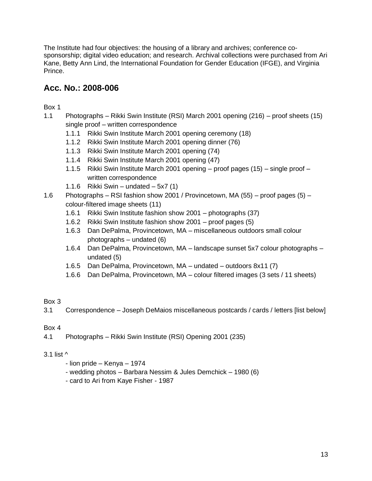The Institute had four objectives: the housing of a library and archives; conference cosponsorship; digital video education; and research. Archival collections were purchased from Ari Kane, Betty Ann Lind, the International Foundation for Gender Education (IFGE), and Virginia Prince.

### **Acc. No.: 2008-006**

Box 1

- 1.1 Photographs Rikki Swin Institute (RSI) March 2001 opening (216) proof sheets (15) single proof – written correspondence
	- 1.1.1 Rikki Swin Institute March 2001 opening ceremony (18)
	- 1.1.2 Rikki Swin Institute March 2001 opening dinner (76)
	- 1.1.3 Rikki Swin Institute March 2001 opening (74)
	- 1.1.4 Rikki Swin Institute March 2001 opening (47)
	- 1.1.5 Rikki Swin Institute March 2001 opening proof pages (15) single proof written correspondence
	- 1.1.6 Rikki Swin undated  $5x7(1)$
- 1.6 Photographs RSI fashion show 2001 / Provincetown, MA (55) proof pages (5) colour-filtered image sheets (11)
	- 1.6.1 Rikki Swin Institute fashion show 2001 photographs (37)
	- 1.6.2 Rikki Swin Institute fashion show 2001 proof pages (5)
	- 1.6.3 Dan DePalma, Provincetown, MA miscellaneous outdoors small colour photographs – undated (6)
	- 1.6.4 Dan DePalma, Provincetown, MA landscape sunset 5x7 colour photographs undated (5)
	- 1.6.5 Dan DePalma, Provincetown, MA undated outdoors 8x11 (7)
	- 1.6.6 Dan DePalma, Provincetown, MA colour filtered images (3 sets / 11 sheets)

#### Box 3

3.1 Correspondence – Joseph DeMaios miscellaneous postcards / cards / letters [list below]

#### Box 4

4.1 Photographs – Rikki Swin Institute (RSI) Opening 2001 (235)

#### 3.1 list ^

- lion pride Kenya 1974
- wedding photos Barbara Nessim & Jules Demchick 1980 (6)
- card to Ari from Kaye Fisher 1987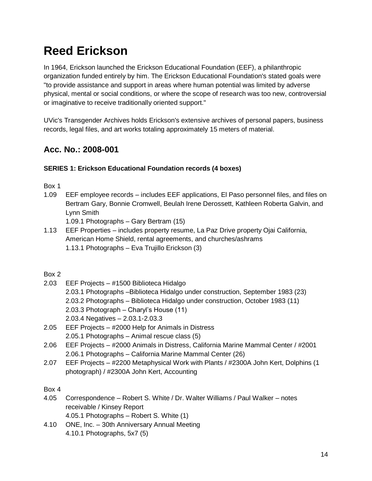# <span id="page-13-0"></span>**Reed Erickson**

In 1964, Erickson launched the Erickson Educational Foundation (EEF), a philanthropic organization funded entirely by him. The Erickson Educational Foundation's stated goals were "to provide assistance and support in areas where human potential was limited by adverse physical, mental or social conditions, or where the scope of research was too new, controversial or imaginative to receive traditionally oriented support."

UVic's Transgender Archives holds Erickson's extensive archives of personal papers, business records, legal files, and art works totaling approximately 15 meters of material.

## **Acc. No.: 2008-001**

#### **SERIES 1: Erickson Educational Foundation records (4 boxes)**

Box 1

1.09 EEF employee records – includes EEF applications, El Paso personnel files, and files on Bertram Gary, Bonnie Cromwell, Beulah Irene Derossett, Kathleen Roberta Galvin, and Lynn Smith

1.09.1 Photographs – Gary Bertram (15)

1.13 EEF Properties – includes property resume, La Paz Drive property Ojai California, American Home Shield, rental agreements, and churches/ashrams 1.13.1 Photographs – Eva Trujillo Erickson (3)

#### Box 2

- 2.03 EEF Projects #1500 Biblioteca Hidalgo 2.03.1 Photographs –Biblioteca Hidalgo under construction, September 1983 (23) 2.03.2 Photographs – Biblioteca Hidalgo under construction, October 1983 (11) 2.03.3 Photograph – Charyl's House (11) 2.03.4 Negatives – 2.03.1-2.03.3
- 2.05 EEF Projects #2000 Help for Animals in Distress 2.05.1 Photographs – Animal rescue class (5)
- 2.06 EEF Projects #2000 Animals in Distress, California Marine Mammal Center / #2001 2.06.1 Photographs – California Marine Mammal Center (26)
- 2.07 EEF Projects #2200 Metaphysical Work with Plants / #2300A John Kert, Dolphins (1 photograph) / #2300A John Kert, Accounting

- 4.05 Correspondence Robert S. White / Dr. Walter Williams / Paul Walker notes receivable / Kinsey Report 4.05.1 Photographs – Robert S. White (1)
- 4.10 ONE, Inc. 30th Anniversary Annual Meeting 4.10.1 Photographs, 5x7 (5)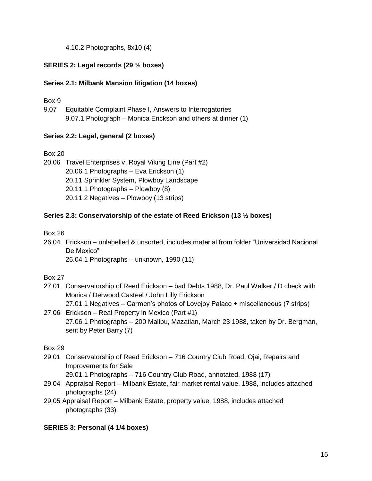4.10.2 Photographs, 8x10 (4)

#### **SERIES 2: Legal records (29 ½ boxes)**

#### **Series 2.1: Milbank Mansion litigation (14 boxes)**

Box 9

9.07 Equitable Complaint Phase I, Answers to Interrogatories 9.07.1 Photograph – Monica Erickson and others at dinner (1)

#### **Series 2.2: Legal, general (2 boxes)**

Box 20

20.06 Travel Enterprises v. Royal Viking Line (Part #2) 20.06.1 Photographs – Eva Erickson (1) 20.11 Sprinkler System, Plowboy Landscape 20.11.1 Photographs – Plowboy (8) 20.11.2 Negatives – Plowboy (13 strips)

#### **Series 2.3: Conservatorship of the estate of Reed Erickson (13 ½ boxes)**

Box 26

26.04 Erickson – unlabelled & unsorted, includes material from folder "Universidad Nacional De Mexico"

26.04.1 Photographs – unknown, 1990 (11)

Box 27

- 27.01 Conservatorship of Reed Erickson bad Debts 1988, Dr. Paul Walker / D check with Monica / Derwood Casteel / John Lilly Erickson 27.01.1 Negatives – Carmen's photos of Lovejoy Palace + miscellaneous (7 strips)
- 27.06 Erickson Real Property in Mexico (Part #1) 27.06.1 Photographs – 200 Malibu, Mazatlan, March 23 1988, taken by Dr. Bergman, sent by Peter Barry (7)

Box 29

29.01 Conservatorship of Reed Erickson – 716 Country Club Road, Ojai, Repairs and Improvements for Sale

29.01.1 Photographs – 716 Country Club Road, annotated, 1988 (17)

- 29.04 Appraisal Report Milbank Estate, fair market rental value, 1988, includes attached photographs (24)
- 29.05 Appraisal Report Milbank Estate, property value, 1988, includes attached photographs (33)

#### **SERIES 3: Personal (4 1/4 boxes)**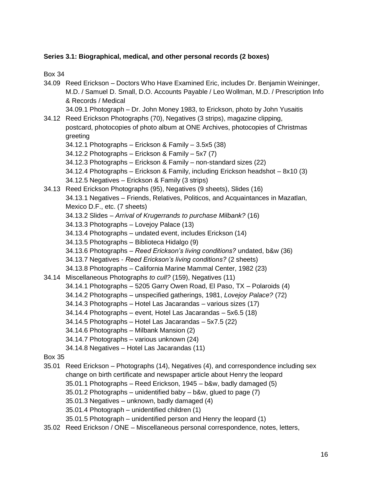#### **Series 3.1: Biographical, medical, and other personal records (2 boxes)**

- 34.09 Reed Erickson Doctors Who Have Examined Eric, includes Dr. Benjamin Weininger, M.D. / Samuel D. Small, D.O. Accounts Payable / Leo Wollman, M.D. / Prescription Info & Records / Medical 34.09.1 Photograph – Dr. John Money 1983, to Erickson, photo by John Yusaitis 34.12 Reed Erickson Photographs (70), Negatives (3 strips), magazine clipping, postcard, photocopies of photo album at ONE Archives, photocopies of Christmas greeting 34.12.1 Photographs – Erickson & Family – 3.5x5 (38) 34.12.2 Photographs – Erickson & Family – 5x7 (7) 34.12.3 Photographs – Erickson & Family – non-standard sizes (22) 34.12.4 Photographs – Erickson & Family, including Erickson headshot – 8x10 (3) 34.12.5 Negatives – Erickson & Family (3 strips) 34.13 Reed Erickson Photographs (95), Negatives (9 sheets), Slides (16) 34.13.1 Negatives – Friends, Relatives, Politicos, and Acquaintances in Mazatlan, Mexico D.F., etc. (7 sheets) 34.13.2 Slides – *Arrival of Krugerrands to purchase Milbank?* (16) 34.13.3 Photographs – Lovejoy Palace (13) 34.13.4 Photographs – undated event, includes Erickson (14) 34.13.5 Photographs – Biblioteca Hidalgo (9) 34.13.6 Photographs – *Reed Erickson's living conditions?* undated, b&w (36) 34.13.7 Negatives - *Reed Erickson's living conditions?* (2 sheets) 34.13.8 Photographs – California Marine Mammal Center, 1982 (23) 34.14 Miscellaneous Photographs *to cull?* (159), Negatives (11) 34.14.1 Photographs – 5205 Garry Owen Road, El Paso, TX – Polaroids (4) 34.14.2 Photographs – unspecified gatherings, 1981, *Lovejoy Palace?* (72) 34.14.3 Photographs – Hotel Las Jacarandas – various sizes (17) 34.14.4 Photographs – event, Hotel Las Jacarandas – 5x6.5 (18) 34.14.5 Photographs – Hotel Las Jacarandas – 5x7.5 (22) 34.14.6 Photographs – Milbank Mansion (2) 34.14.7 Photographs – various unknown (24) 34.14.8 Negatives – Hotel Las Jacarandas (11) Box 35 35.01 Reed Erickson – Photographs (14), Negatives (4), and correspondence including sex change on birth certificate and newspaper article about Henry the leopard 35.01.1 Photographs – Reed Erickson, 1945 – b&w, badly damaged (5) 35.01.2 Photographs – unidentified baby – b&w, glued to page (7) 35.01.3 Negatives – unknown, badly damaged (4) 35.01.4 Photograph – unidentified children (1) 35.01.5 Photograph – unidentified person and Henry the leopard (1)
- 35.02 Reed Erickson / ONE Miscellaneous personal correspondence, notes, letters,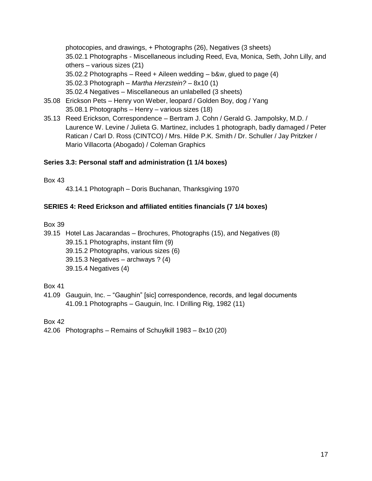photocopies, and drawings, + Photographs (26), Negatives (3 sheets) 35.02.1 Photographs - Miscellaneous including Reed, Eva, Monica, Seth, John Lilly, and others – various sizes (21)  $35.02.2$  Photographs – Reed + Aileen wedding – b&w, glued to page  $(4)$ 35.02.3 Photograph – *Martha Herzstein?* – 8x10 (1) 35.02.4 Negatives – Miscellaneous an unlabelled (3 sheets)

- 35.08 Erickson Pets Henry von Weber, leopard / Golden Boy, dog / Yang 35.08.1 Photographs – Henry – various sizes (18)
- 35.13 Reed Erickson, Correspondence Bertram J. Cohn / Gerald G. Jampolsky, M.D. / Laurence W. Levine / Julieta G. Martinez, includes 1 photograph, badly damaged / Peter Ratican / Carl D. Ross (CINTCO) / Mrs. Hilde P.K. Smith / Dr. Schuller / Jay Pritzker / Mario Villacorta (Abogado) / Coleman Graphics

#### **Series 3.3: Personal staff and administration (1 1/4 boxes)**

Box 43

43.14.1 Photograph – Doris Buchanan, Thanksgiving 1970

#### **SERIES 4: Reed Erickson and affiliated entities financials (7 1/4 boxes)**

Box 39

39.15 Hotel Las Jacarandas – Brochures, Photographs (15), and Negatives (8) 39.15.1 Photographs, instant film (9) 39.15.2 Photographs, various sizes (6) 39.15.3 Negatives – archways ? (4) 39.15.4 Negatives (4)

Box 41

41.09 Gauguin, Inc. – "Gaughin" [sic] correspondence, records, and legal documents 41.09.1 Photographs – Gauguin, Inc. I Drilling Rig, 1982 (11)

Box 42

42.06 Photographs – Remains of Schuylkill 1983 – 8x10 (20)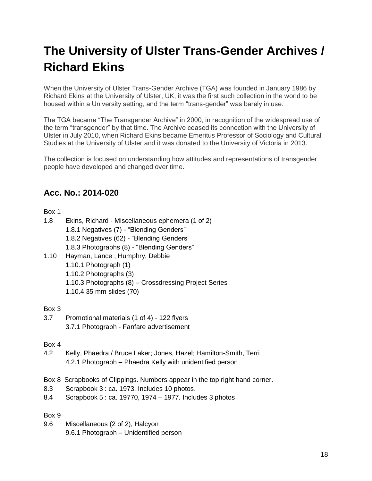# <span id="page-17-0"></span>**The University of Ulster Trans-Gender Archives / Richard Ekins**

When the University of Ulster Trans-Gender Archive (TGA) was founded in January 1986 by Richard Ekins at the University of Ulster, UK, it was the first such collection in the world to be housed within a University setting, and the term "trans-gender" was barely in use.

The TGA became "The Transgender Archive" in 2000, in recognition of the widespread use of the term "transgender" by that time. The Archive ceased its connection with the University of Ulster in July 2010, when Richard Ekins became Emeritus Professor of Sociology and Cultural Studies at the University of Ulster and it was donated to the University of Victoria in 2013.

The collection is focused on understanding how attitudes and representations of transgender people have developed and changed over time.

## **Acc. No.: 2014-020**

#### Box 1

| 1.8  | Ekins, Richard - Miscellaneous ephemera (1 of 2)      |
|------|-------------------------------------------------------|
|      | 1.8.1 Negatives (7) - "Blending Genders"              |
|      | 1.8.2 Negatives (62) - "Blending Genders"             |
|      | 1.8.3 Photographs (8) - "Blending Genders"            |
| 1.10 | Hayman, Lance; Humphry, Debbie                        |
|      | 1.10.1 Photograph (1)                                 |
|      | 1.10.2 Photographs (3)                                |
|      | 1.10.3 Photographs (8) - Crossdressing Project Series |
|      | 1.10.4 35 mm slides (70)                              |

#### Box 3

3.7 Promotional materials (1 of 4) - 122 flyers 3.7.1 Photograph - Fanfare advertisement

#### Box 4

- 4.2 Kelly, Phaedra / Bruce Laker; Jones, Hazel; Hamilton-Smith, Terri 4.2.1 Photograph – Phaedra Kelly with unidentified person
- Box 8 Scrapbooks of Clippings. Numbers appear in the top right hand corner.
- 8.3 Scrapbook 3 : ca. 1973. Includes 10 photos.
- 8.4 Scrapbook 5 : ca. 19770, 1974 1977. Includes 3 photos

#### Box 9

9.6 Miscellaneous (2 of 2), Halcyon 9.6.1 Photograph – Unidentified person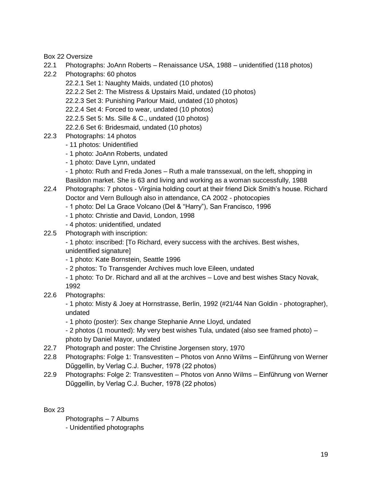Box 22 Oversize

- 22.1 Photographs: JoAnn Roberts Renaissance USA, 1988 unidentified (118 photos)
- 22.2 Photographs: 60 photos
	- 22.2.1 Set 1: Naughty Maids, undated (10 photos)
		- 22.2.2 Set 2: The Mistress & Upstairs Maid, undated (10 photos)
		- 22.2.3 Set 3: Punishing Parlour Maid, undated (10 photos)
	- 22.2.4 Set 4: Forced to wear, undated (10 photos)
	- 22.2.5 Set 5: Ms. Sille & C., undated (10 photos)
	- 22.2.6 Set 6: Bridesmaid, undated (10 photos)
- 22.3 Photographs: 14 photos
	- 11 photos: Unidentified
	- 1 photo: JoAnn Roberts, undated
	- 1 photo: Dave Lynn, undated
	- 1 photo: Ruth and Freda Jones Ruth a male transsexual, on the left, shopping in

Basildon market. She is 63 and living and working as a woman successfully, 1988

- 22.4 Photographs: 7 photos Virginia holding court at their friend Dick Smith's house. Richard Doctor and Vern Bullough also in attendance, CA 2002 - photocopies
	- 1 photo: Del La Grace Volcano (Del & "Harry"), San Francisco, 1996
	- 1 photo: Christie and David, London, 1998
	- 4 photos: unidentified, undated
- 22.5 Photograph with inscription:
	- 1 photo: inscribed: [To Richard, every success with the archives. Best wishes, unidentified signature]
	- 1 photo: Kate Bornstein, Seattle 1996
	- 2 photos: To Transgender Archives much love Eileen, undated
	- 1 photo: To Dr. Richard and all at the archives Love and best wishes Stacy Novak, 1992
- 22.6 Photographs:

- 1 photo: Misty & Joey at Hornstrasse, Berlin, 1992 (#21/44 Nan Goldin - photographer), undated

- 1 photo (poster): Sex change Stephanie Anne Lloyd, undated

- 2 photos (1 mounted): My very best wishes Tula, undated (also see framed photo) – photo by Daniel Mayor, undated

- 22.7 Photograph and poster: The Christine Jorgensen story, 1970
- 22.8 Photographs: Folge 1: Transvestiten Photos von Anno Wilms Einfűhrung von Werner Dűggellin, by Verlag C.J. Bucher, 1978 (22 photos)
- 22.9 Photographs: Folge 2: Transvestiten Photos von Anno Wilms Einfűhrung von Werner Dűggellin, by Verlag C.J. Bucher, 1978 (22 photos)

Box 23

Photographs – 7 Albums

- Unidentified photographs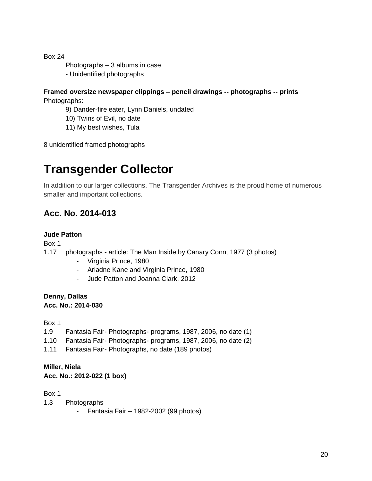- Photographs 3 albums in case
- Unidentified photographs

#### **Framed oversize newspaper clippings – pencil drawings -- photographs -- prints** Photographs:

- 9) Dander-fire eater, Lynn Daniels, undated
- 10) Twins of Evil, no date
- 11) My best wishes, Tula

<span id="page-19-0"></span>8 unidentified framed photographs

## **Transgender Collector**

In addition to our larger collections, The Transgender Archives is the proud home of numerous smaller and important collections.

## **Acc. No. 2014-013**

#### **Jude Patton**

Box 1

- 1.17 photographs article: The Man Inside by Canary Conn, 1977 (3 photos)
	- Virginia Prince, 1980
	- Ariadne Kane and Virginia Prince, 1980
	- Jude Patton and Joanna Clark, 2012

#### **Denny, Dallas Acc. No.: 2014-030**

Box 1

- 1.9 Fantasia Fair- Photographs- programs, 1987, 2006, no date (1)
- 1.10 Fantasia Fair- Photographs- programs, 1987, 2006, no date (2)
- 1.11 Fantasia Fair- Photographs, no date (189 photos)

#### **Miller, Niela**

#### **Acc. No.: 2012-022 (1 box)**

- 1.3 Photographs
	- Fantasia Fair 1982-2002 (99 photos)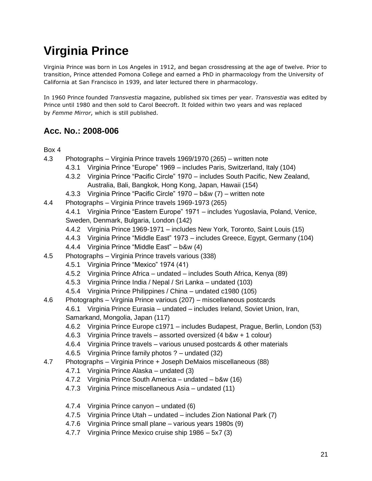# <span id="page-20-0"></span>**Virginia Prince**

Virginia Prince was born in Los Angeles in 1912, and began crossdressing at the age of twelve. Prior to transition, Prince attended Pomona College and earned a PhD in pharmacology from the University of California at San Francisco in 1939, and later lectured there in pharmacology.

In 1960 Prince founded *Transvestia* magazine, published six times per year. *Transvestia* was edited by Prince until 1980 and then sold to Carol Beecroft. It folded within two years and was replaced by *Femme Mirror*, which is still published.

### **Acc. No.: 2008-006**

- 4.3 Photographs Virginia Prince travels 1969/1970 (265) written note
	- 4.3.1 Virginia Prince "Europe" 1969 includes Paris, Switzerland, Italy (104)
		- 4.3.2 Virginia Prince "Pacific Circle" 1970 includes South Pacific, New Zealand, Australia, Bali, Bangkok, Hong Kong, Japan, Hawaii (154)
		- 4.3.3 Virginia Prince "Pacific Circle" 1970 b&w (7) written note
- 4.4 Photographs Virginia Prince travels 1969-1973 (265)
	- 4.4.1 Virginia Prince "Eastern Europe" 1971 includes Yugoslavia, Poland, Venice, Sweden, Denmark, Bulgaria, London (142)
	- 4.4.2 Virginia Prince 1969-1971 includes New York, Toronto, Saint Louis (15)
	- 4.4.3 Virginia Prince "Middle East" 1973 includes Greece, Egypt, Germany (104)
	- 4.4.4 Virginia Prince "Middle East" b&w (4)
- 4.5 Photographs Virginia Prince travels various (338)
	- 4.5.1 Virginia Prince "Mexico" 1974 (41)
	- 4.5.2 Virginia Prince Africa undated includes South Africa, Kenya (89)
	- 4.5.3 Virginia Prince India / Nepal / Sri Lanka undated (103)
	- 4.5.4 Virginia Prince Philippines / China undated c1980 (105)
- 4.6 Photographs Virginia Prince various (207) miscellaneous postcards
	- 4.6.1 Virginia Prince Eurasia undated includes Ireland, Soviet Union, Iran, Samarkand, Mongolia, Japan (117)
	- 4.6.2 Virginia Prince Europe c1971 includes Budapest, Prague, Berlin, London (53)
	- 4.6.3 Virginia Prince travels assorted oversized (4 b&w + 1 colour)
	- 4.6.4 Virginia Prince travels various unused postcards & other materials
	- 4.6.5 Virginia Prince family photos ? undated (32)
- 4.7 Photographs Virginia Prince + Joseph DeMaios miscellaneous (88)
	- 4.7.1 Virginia Prince Alaska undated (3)
	- 4.7.2 Virginia Prince South America undated b&w (16)
	- 4.7.3 Virginia Prince miscellaneous Asia undated (11)
	- 4.7.4 Virginia Prince canyon undated (6)
	- 4.7.5 Virginia Prince Utah undated includes Zion National Park (7)
	- 4.7.6 Virginia Prince small plane various years 1980s (9)
	- 4.7.7 Virginia Prince Mexico cruise ship 1986 5x7 (3)